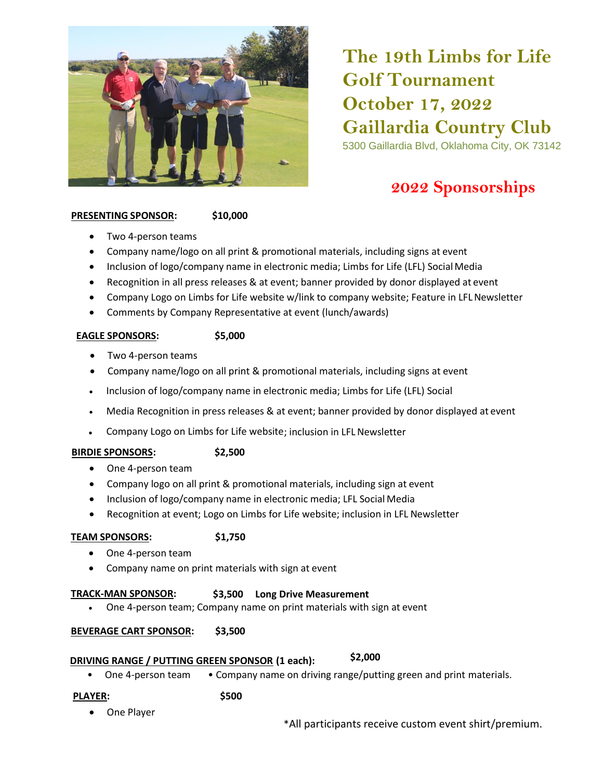

# **The 19th Limbs for Life Golf Tournament October 17, 2022 Gaillardia Country Club** 5300 Gaillardia Blvd, Oklahoma City, OK 73142

# **2022 Sponsorships**

#### **PRESENTING SPONSOR: \$10,000**

- Two 4-person teams
- Company name/logo on all print & promotional materials, including signs at event
- Inclusion of logo/company name in electronic media; Limbs for Life (LFL) SocialMedia
- Recognition in all press releases & at event; banner provided by donor displayed at event
- Company Logo on Limbs for Life website w/link to company website; Feature in LFL Newsletter
- Comments by Company Representative at event (lunch/awards)

#### **EAGLE SPONSORS: \$5,000**

- Two 4-person teams
- Company name/logo on all print & promotional materials, including signs at event
- Inclusion of logo/company name in electronic media; Limbs for Life (LFL) Social
- Media Recognition in press releases & at event; banner provided by donor displayed at event
- Company Logo on Limbs for Life website; inclusion in LFLNewsletter

### **BIRDIE SPONSORS: \$2,500**

- One 4-person team
- Company logo on all print & promotional materials, including sign at event
- Inclusion of logo/company name in electronic media; LFL Social Media
- Recognition at event; Logo on Limbs for Life website; inclusion in LFL Newsletter

### **TEAM SPONSORS: \$1,750**

- One 4-person team
- Company name on print materials with sign at event

### **TRACK-MAN SPONSOR: \$3,500 Long Drive Measurement**

• One 4-person team; Company name on print materials with sign at event

### **BEVERAGE CART SPONSOR: \$3,500**

## **DRIVING RANGE / PUTTING GREEN SPONSOR (1 each): \$2,000**

• One 4-person team • Company name on driving range/putting green and print materials.

#### **PLAYER:**

- **\$500**
- One Player

\*All participants receive custom event shirt/premium.